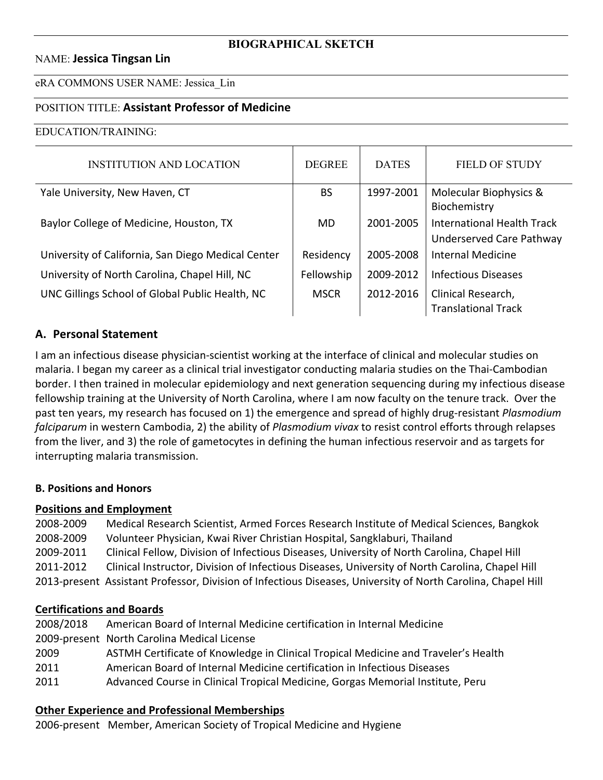### NAME: **Jessica Tingsan Lin**

#### eRA COMMONS USER NAME: Jessica\_Lin

### POSITION TITLE: **Assistant Professor of Medicine**

#### EDUCATION/TRAINING:

| <b>INSTITUTION AND LOCATION</b>                    | <b>DEGREE</b> | <b>DATES</b> | <b>FIELD OF STUDY</b>             |
|----------------------------------------------------|---------------|--------------|-----------------------------------|
| Yale University, New Haven, CT                     | <b>BS</b>     | 1997-2001    | Molecular Biophysics &            |
|                                                    |               |              | Biochemistry                      |
| Baylor College of Medicine, Houston, TX            | <b>MD</b>     | 2001-2005    | <b>International Health Track</b> |
|                                                    |               |              | Underserved Care Pathway          |
| University of California, San Diego Medical Center | Residency     | 2005-2008    | Internal Medicine                 |
| University of North Carolina, Chapel Hill, NC      | Fellowship    | 2009-2012    | <b>Infectious Diseases</b>        |
| UNC Gillings School of Global Public Health, NC    | <b>MSCR</b>   | 2012-2016    | Clinical Research,                |
|                                                    |               |              | <b>Translational Track</b>        |

### **A. Personal Statement**

I am an infectious disease physician-scientist working at the interface of clinical and molecular studies on malaria. I began my career as a clinical trial investigator conducting malaria studies on the Thai-Cambodian border. I then trained in molecular epidemiology and next generation sequencing during my infectious disease fellowship training at the University of North Carolina, where I am now faculty on the tenure track. Over the past ten years, my research has focused on 1) the emergence and spread of highly drug-resistant *Plasmodium falciparum* in western Cambodia, 2) the ability of *Plasmodium vivax* to resist control efforts through relapses from the liver, and 3) the role of gametocytes in defining the human infectious reservoir and as targets for interrupting malaria transmission.

### **B. Positions and Honors**

### **Positions and Employment**

2008-2009 Medical Research Scientist, Armed Forces Research Institute of Medical Sciences, Bangkok 2008-2009 Volunteer Physician, Kwai River Christian Hospital, Sangklaburi, Thailand 2009-2011 Clinical Fellow, Division of Infectious Diseases, University of North Carolina, Chapel Hill 2011-2012 Clinical Instructor, Division of Infectious Diseases, University of North Carolina, Chapel Hill 2013-present Assistant Professor, Division of Infectious Diseases, University of North Carolina, Chapel Hill

### **Certifications and Boards**

| 2008/2018 | American Board of Internal Medicine certification in Internal Medicine             |
|-----------|------------------------------------------------------------------------------------|
|           | 2009-present North Carolina Medical License                                        |
| 2009      | ASTMH Certificate of Knowledge in Clinical Tropical Medicine and Traveler's Health |
| 2011      | American Board of Internal Medicine certification in Infectious Diseases           |
| 2011      | Advanced Course in Clinical Tropical Medicine, Gorgas Memorial Institute, Peru     |
|           |                                                                                    |

### **Other Experience and Professional Memberships**

2006-present Member, American Society of Tropical Medicine and Hygiene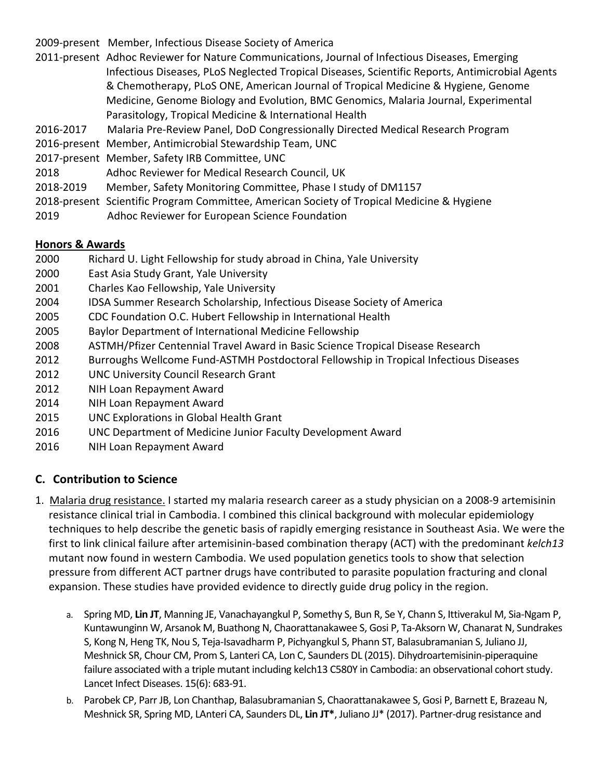2009-present Member, Infectious Disease Society of America

- 2011-present Adhoc Reviewer for Nature Communications, Journal of Infectious Diseases, Emerging Infectious Diseases, PLoS Neglected Tropical Diseases, Scientific Reports, Antimicrobial Agents & Chemotherapy, PLoS ONE, American Journal of Tropical Medicine & Hygiene, Genome Medicine, Genome Biology and Evolution, BMC Genomics, Malaria Journal, Experimental Parasitology, Tropical Medicine & International Health
- 2016-2017 Malaria Pre-Review Panel, DoD Congressionally Directed Medical Research Program
- 2016-present Member, Antimicrobial Stewardship Team, UNC
- 2017-present Member, Safety IRB Committee, UNC
- 2018 Adhoc Reviewer for Medical Research Council, UK
- 2018-2019 Member, Safety Monitoring Committee, Phase I study of DM1157
- 2018-present Scientific Program Committee, American Society of Tropical Medicine & Hygiene
- 2019 Adhoc Reviewer for European Science Foundation

## **Honors & Awards**

- 2000 Richard U. Light Fellowship for study abroad in China, Yale University
- 2000 East Asia Study Grant, Yale University
- 2001 Charles Kao Fellowship, Yale University
- 2004 IDSA Summer Research Scholarship, Infectious Disease Society of America
- 2005 CDC Foundation O.C. Hubert Fellowship in International Health
- 2005 Baylor Department of International Medicine Fellowship
- 2008 ASTMH/Pfizer Centennial Travel Award in Basic Science Tropical Disease Research
- 2012 Burroughs Wellcome Fund-ASTMH Postdoctoral Fellowship in Tropical Infectious Diseases
- 2012 UNC University Council Research Grant
- 2012 NIH Loan Repayment Award
- 2014 NIH Loan Repayment Award
- 2015 UNC Explorations in Global Health Grant
- 2016 UNC Department of Medicine Junior Faculty Development Award
- 2016 NIH Loan Repayment Award

# **C. Contribution to Science**

- 1. Malaria drug resistance. I started my malaria research career as a study physician on a 2008-9 artemisinin resistance clinical trial in Cambodia. I combined this clinical background with molecular epidemiology techniques to help describe the genetic basis of rapidly emerging resistance in Southeast Asia. We were the first to link clinical failure after artemisinin-based combination therapy (ACT) with the predominant *kelch13* mutant now found in western Cambodia. We used population genetics tools to show that selection pressure from different ACT partner drugs have contributed to parasite population fracturing and clonal expansion. These studies have provided evidence to directly guide drug policy in the region.
	- a. Spring MD, **Lin JT**, Manning JE, Vanachayangkul P, Somethy S, Bun R, Se Y, Chann S, Ittiverakul M, Sia-Ngam P, Kuntawunginn W, Arsanok M, Buathong N, Chaorattanakawee S, Gosi P, Ta-Aksorn W, Chanarat N, Sundrakes S, Kong N, Heng TK, Nou S, Teja-Isavadharm P, Pichyangkul S, Phann ST, Balasubramanian S, Juliano JJ, Meshnick SR, Chour CM, Prom S, Lanteri CA, Lon C, Saunders DL (2015). Dihydroartemisinin-piperaquine failure associated with a triple mutant including kelch13 C580Y in Cambodia: an observational cohort study. Lancet Infect Diseases. 15(6): 683-91.
	- b. Parobek CP, Parr JB, Lon Chanthap, Balasubramanian S, Chaorattanakawee S, Gosi P, Barnett E, Brazeau N, Meshnick SR, Spring MD, LAnteri CA, Saunders DL, **Lin JT\***, Juliano JJ\* (2017). Partner-drug resistance and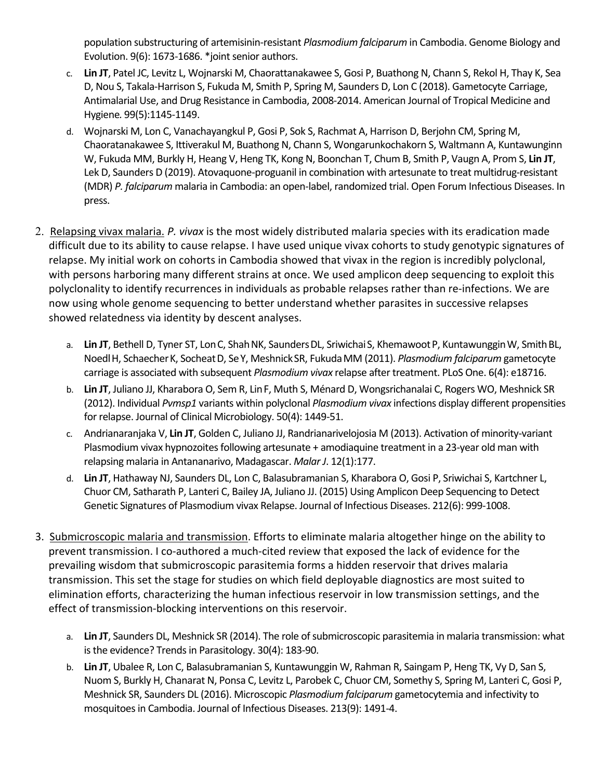population substructuring of artemisinin-resistant *Plasmodium falciparum* in Cambodia. Genome Biology and Evolution. 9(6): 1673-1686. \*joint senior authors.

- c. **Lin JT**, Patel JC, Levitz L, Wojnarski M, Chaorattanakawee S, Gosi P, Buathong N, Chann S, Rekol H, Thay K, Sea D, Nou S, Takala-Harrison S, Fukuda M, Smith P, Spring M, Saunders D, Lon C (2018). Gametocyte Carriage, Antimalarial Use, and Drug Resistance in Cambodia, 2008-2014. American Journal of Tropical Medicine and Hygiene*.* 99(5):1145-1149.
- d. Wojnarski M, Lon C, Vanachayangkul P, Gosi P, Sok S, Rachmat A, Harrison D, Berjohn CM, Spring M, Chaoratanakawee S, Ittiverakul M, Buathong N, Chann S, Wongarunkochakorn S, Waltmann A, Kuntawunginn W, Fukuda MM, Burkly H, Heang V, Heng TK, Kong N, Boonchan T, Chum B, Smith P, Vaugn A, Prom S, **Lin JT**, Lek D, Saunders D (2019). Atovaquone-proguanil in combination with artesunate to treat multidrug-resistant (MDR) *P. falciparum* malaria in Cambodia: an open-label, randomized trial. Open Forum Infectious Diseases. In press.
- 2. Relapsing vivax malaria. *P. vivax* is the most widely distributed malaria species with its eradication made difficult due to its ability to cause relapse. I have used unique vivax cohorts to study genotypic signatures of relapse. My initial work on cohorts in Cambodia showed that vivax in the region is incredibly polyclonal, with persons harboring many different strains at once. We used amplicon deep sequencing to exploit this polyclonality to identify recurrences in individuals as probable relapses rather than re-infections. We are now using whole genome sequencing to better understand whether parasites in successive relapses showed relatedness via identity by descent analyses.
	- a. Lin JT, Bethell D, Tyner ST, Lon C, Shah NK, Saunders DL, Sriwichai S, Khemawoot P, Kuntawunggin W, Smith BL, NoedlH, SchaecherK, SocheatD, SeY, MeshnickSR, FukudaMM (2011). *Plasmodium falciparum* gametocyte carriage is associated with subsequent *Plasmodium vivax* relapse after treatment. PLoS One. 6(4): e18716.
	- b. **Lin JT**, Juliano JJ, Kharabora O, Sem R, LinF, Muth S, Ménard D, Wongsrichanalai C, Rogers WO, Meshnick SR (2012). Individual *Pvmsp1* variants within polyclonal *Plasmodium vivax* infections display different propensities for relapse. Journal of Clinical Microbiology. 50(4): 1449-51.
	- c. Andrianaranjaka V, **Lin JT**, Golden C, Juliano JJ, Randrianarivelojosia M (2013). Activation of minority-variant Plasmodium vivax hypnozoites following artesunate + amodiaquine treatment in a 23-year old man with relapsing malaria in Antananarivo, Madagascar. *Malar J*. 12(1):177.
	- d. **Lin JT**, Hathaway NJ, Saunders DL, Lon C, Balasubramanian S, Kharabora O, Gosi P, Sriwichai S, Kartchner L, Chuor CM, Satharath P, Lanteri C, Bailey JA, Juliano JJ. (2015) Using Amplicon Deep Sequencing to Detect Genetic Signatures of Plasmodium vivax Relapse. Journal of Infectious Diseases. 212(6): 999-1008.
- 3. Submicroscopic malaria and transmission. Efforts to eliminate malaria altogether hinge on the ability to prevent transmission. I co-authored a much-cited review that exposed the lack of evidence for the prevailing wisdom that submicroscopic parasitemia forms a hidden reservoir that drives malaria transmission. This set the stage for studies on which field deployable diagnostics are most suited to elimination efforts, characterizing the human infectious reservoir in low transmission settings, and the effect of transmission-blocking interventions on this reservoir.
	- a. **Lin JT**, Saunders DL, Meshnick SR (2014). The role of submicroscopic parasitemia in malaria transmission: what is the evidence? Trends in Parasitology. 30(4): 183-90.
	- b. **Lin JT**, Ubalee R, Lon C, Balasubramanian S, Kuntawunggin W, Rahman R, Saingam P, Heng TK, Vy D, San S, Nuom S, Burkly H, Chanarat N, Ponsa C, Levitz L, Parobek C, Chuor CM, Somethy S, Spring M, Lanteri C, Gosi P, Meshnick SR, Saunders DL (2016). Microscopic *Plasmodium falciparum* gametocytemia and infectivity to mosquitoes in Cambodia. Journal of Infectious Diseases. 213(9): 1491-4.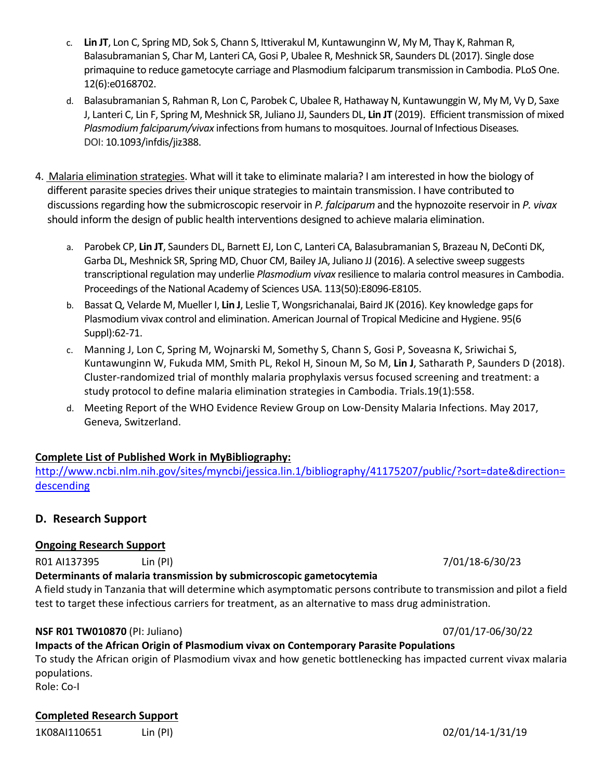- c. **Lin JT**, Lon C, Spring MD, Sok S, Chann S, Ittiverakul M, Kuntawunginn W, My M, Thay K, Rahman R, Balasubramanian S, Char M, Lanteri CA, Gosi P, Ubalee R, Meshnick SR, Saunders DL (2017). Single dose primaquine to reduce gametocyte carriage and Plasmodium falciparum transmission in Cambodia. PLoS One. 12(6):e0168702.
- d. Balasubramanian S, Rahman R, Lon C, Parobek C, Ubalee R, Hathaway N, Kuntawunggin W, My M, Vy D, Saxe J, Lanteri C, Lin F, Spring M, Meshnick SR, Juliano JJ, Saunders DL, **Lin JT** (2019). Efficient transmission of mixed *Plasmodium falciparum/vivax* infections from humans to mosquitoes. Journal of Infectious Diseases. DOI: 10.1093/infdis/jiz388.
- 4. Malaria elimination strategies. What will it take to eliminate malaria? I am interested in how the biology of different parasite species drives their unique strategies to maintain transmission. I have contributed to discussions regarding how the submicroscopic reservoir in *P. falciparum* and the hypnozoite reservoir in *P. vivax* should inform the design of public health interventions designed to achieve malaria elimination.
	- a. Parobek CP, **Lin JT**, Saunders DL, Barnett EJ, Lon C, Lanteri CA, Balasubramanian S, Brazeau N, DeConti DK, Garba DL, Meshnick SR, Spring MD, Chuor CM, Bailey JA, Juliano JJ (2016). A selective sweep suggests transcriptional regulation may underlie *Plasmodium vivax* resilience to malaria control measures in Cambodia. Proceedings of the National Academy of Sciences USA. 113(50):E8096-E8105.
	- b. Bassat Q, Velarde M, Mueller I, **Lin J**, Leslie T, Wongsrichanalai, Baird JK (2016). Key knowledge gaps for Plasmodium vivax control and elimination. American Journal of Tropical Medicine and Hygiene. 95(6 Suppl):62-71.
	- c. Manning J, Lon C, Spring M, Wojnarski M, Somethy S, Chann S, Gosi P, Soveasna K, Sriwichai S, Kuntawunginn W, Fukuda MM, Smith PL, Rekol H, Sinoun M, So M, **Lin J**, Satharath P, Saunders D (2018). Cluster-randomized trial of monthly malaria prophylaxis versus focused screening and treatment: a study protocol to define malaria elimination strategies in Cambodia. Trials.19(1):558.
	- d. Meeting Report of the WHO Evidence Review Group on Low-Density Malaria Infections. May 2017, Geneva, Switzerland.

# **Complete List of Published Work in MyBibliography:**

http://www.ncbi.nlm.nih.gov/sites/myncbi/jessica.lin.1/bibliography/41175207/public/?sort=date&direction= descending

# **D. Research Support**

## **Ongoing Research Support**

R01 AI137395 Lin (PI) Lin (PI) Lin (PI) Lin (PI) Lin (PI) Lin (PI) Lin (PI) Lin (PI) Lin (PI) Lin (PI) Lin (P

## **Determinants of malaria transmission by submicroscopic gametocytemia**

A field study in Tanzania that will determine which asymptomatic persons contribute to transmission and pilot a field test to target these infectious carriers for treatment, as an alternative to mass drug administration.

## **NSF R01 TW010870** (PI: Juliano) 07/01/17-06/30/22

**Impacts of the African Origin of Plasmodium vivax on Contemporary Parasite Populations** To study the African origin of Plasmodium vivax and how genetic bottlenecking has impacted current vivax malaria populations.

Role: Co-I

# **Completed Research Support**

1K08AI110651 Lin (PI) 02/01/14-1/31/19